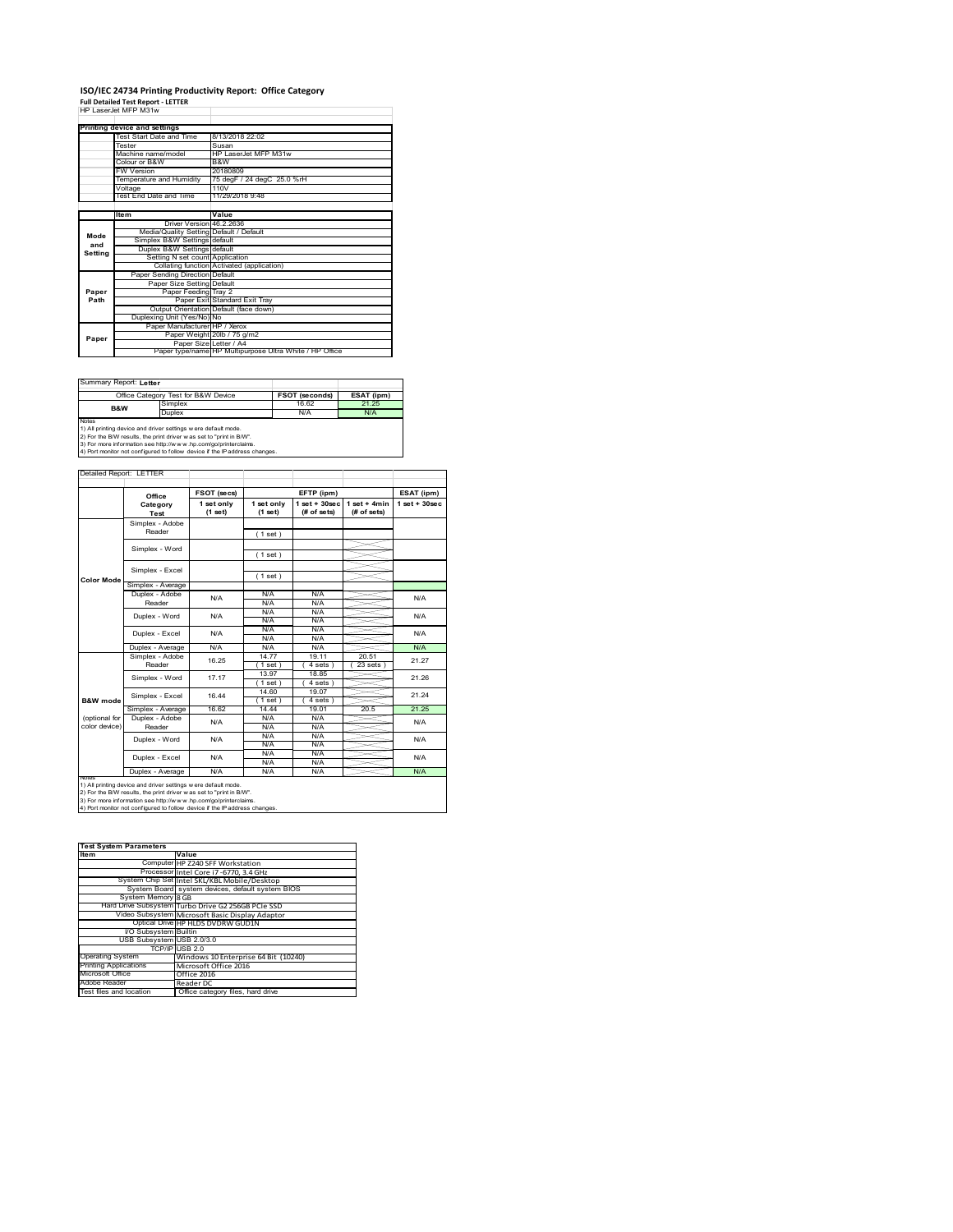### **ISO/IEC 24734 Printing Productivity Report: Office Category Full Detailed Test Report ‐ LETTER** HP LaserJet MFP M31w

|         | HP Laser.let MFP M31w                   |                                                         |
|---------|-----------------------------------------|---------------------------------------------------------|
|         | Printing device and settings            |                                                         |
|         | Test Start Date and Time                | 8/13/2018 22:02                                         |
|         | Tester                                  | Susan                                                   |
|         | Machine name/model                      | HP LaserJet MFP M31w                                    |
|         | Colour or B&W                           | B&W                                                     |
|         | <b>FW Version</b>                       | 20180809                                                |
|         | Temperature and Humidity                | 75 degF / 24 degC 25.0 %rH                              |
|         | Voltage                                 | 110V                                                    |
|         | Test End Date and Time                  | 11/29/2018 9:48                                         |
|         |                                         |                                                         |
|         | <b>Item</b>                             | Value                                                   |
|         | Driver Version 46.2.2636                |                                                         |
| Mode    | Media/Quality Setting Default / Default |                                                         |
| and     | Simplex B&W Settings default            |                                                         |
| Settina | Duplex B&W Settings default             |                                                         |
|         | Setting N set count Application         |                                                         |
|         |                                         | Collating function Activated (application)              |
|         | Paper Sending Direction Default         |                                                         |
|         | Paper Size Setting Default              |                                                         |
| Paper   | Paper Feeding Tray 2                    |                                                         |
| Path    |                                         | Paper Exit Standard Exit Tray                           |
|         |                                         | Output Orientation Default (face down)                  |
|         | Duplexing Unit (Yes/No) No              |                                                         |
|         | Paper Manufacturer HP / Xerox           |                                                         |
| Paper   |                                         | Paper Weight 20lb / 75 g/m2                             |
|         | Paper Size Letter / A4                  |                                                         |
|         |                                         | Paper type/name HP Multipurpose Ultra White / HP Office |

Summary Report: **Letter**

|                                                                | Office Category Test for B&W Device                                                                                                                                                                                           | <b>FSOT (seconds)</b> | ESAT (ipm) |  |  |  |
|----------------------------------------------------------------|-------------------------------------------------------------------------------------------------------------------------------------------------------------------------------------------------------------------------------|-----------------------|------------|--|--|--|
| B&W                                                            | Simplex                                                                                                                                                                                                                       | 16.62                 | 21 25      |  |  |  |
|                                                                | Duplex                                                                                                                                                                                                                        | N/A                   | N/A        |  |  |  |
| <b>Notes</b>                                                   |                                                                                                                                                                                                                               |                       |            |  |  |  |
| 1) All printing device and driver settings w ere default mode. |                                                                                                                                                                                                                               |                       |            |  |  |  |
|                                                                | To see the passed of the second the contract of the passed of the passed of the contract of the passed of the contract of the contract of the contract of the contract of the contract of the contract of the contract of the |                       |            |  |  |  |

1) All printing device and driver settings were default mode.<br>2) For the B/W results, the print driver was set to "print in B/W".<br>3) For more information see http://www.hp.com/go/printerclaims.<br>4) Port monitor not configur

|                     | Office            | FSOT (secs)           |                       | EFTP (ipm)                      |                                | ESAT (ipm)         |  |
|---------------------|-------------------|-----------------------|-----------------------|---------------------------------|--------------------------------|--------------------|--|
|                     | Category<br>Test  | 1 set only<br>(1 set) | 1 set only<br>(1 set) | $1 set + 30 sec$<br>(# of sets) | $1 set + 4 min$<br>(# of sets) | $1$ set + $30$ sec |  |
|                     | Simplex - Adobe   |                       |                       |                                 |                                |                    |  |
|                     | Reader            |                       | (1 set)               |                                 |                                |                    |  |
|                     | Simplex - Word    |                       |                       |                                 |                                |                    |  |
|                     |                   |                       | (1 set)               |                                 |                                |                    |  |
|                     | Simplex - Excel   |                       |                       |                                 |                                |                    |  |
| <b>Color Mode</b>   |                   |                       | (1 set)               |                                 |                                |                    |  |
|                     | Simplex - Average |                       |                       |                                 |                                |                    |  |
|                     | Duplex - Adobe    | N/A                   | N/A                   | N/A                             |                                | N/A                |  |
|                     | Reader            |                       | N/A                   | N/A                             |                                |                    |  |
|                     | Duplex - Word     | N/A                   | N/A                   | N/A                             |                                | N/A                |  |
|                     |                   |                       | N/A                   | N/A                             |                                |                    |  |
|                     | Duplex - Excel    | N/A                   | N/A                   | N/A                             |                                | N/A                |  |
|                     |                   |                       | N/A                   | N/A                             |                                |                    |  |
|                     | Duplex - Average  | N/A                   | N/A                   | N/A                             |                                | N/A                |  |
|                     | Simplex - Adobe   | 16.25                 | 1477                  | 19.11                           | 20.51                          | 21.27              |  |
|                     | Reader            |                       | (1 set)               | 4 sets 1                        | 23 sets                        |                    |  |
|                     | Simplex - Word    | 17 17                 | 13.97                 | 18.85                           |                                | 21.26              |  |
|                     |                   |                       | (1 set)               | $4 sets$ )                      |                                |                    |  |
|                     | Simplex - Excel   | 16.44                 | 14.60                 | 19.07                           |                                | 21.24              |  |
| <b>B&amp;W</b> mode |                   |                       | $1$ set)              | 4 sets                          |                                |                    |  |
|                     | Simplex - Average | 16.62                 | 14 44                 | 19 01                           | 20.5                           | 21 25              |  |
| (optional for       | Duplex - Adobe    | N/A                   | N/A                   | N/A                             |                                | N/A                |  |
| color device)       | Reader            |                       | N/A                   | N/A                             |                                |                    |  |
|                     | Duplex - Word     | N/A                   | N/A                   | N/A                             |                                | N/A                |  |
|                     |                   |                       | N/A                   | N/A                             |                                |                    |  |
|                     | Duplex - Excel    | N/A                   | N/A                   | N/A                             |                                | N/A                |  |
|                     |                   |                       | N/A                   | N/A                             |                                |                    |  |
|                     | Duplex - Average  | N/A                   | N/A                   | N/A                             |                                | N/A                |  |

1) All printing device and driver settings were default mode.<br>2) For the B/W results, the print driver was set to "print in B/W".<br>3) For more information see http://www.hp.com/go/printerclaims.<br>4) Port monitor not configur

| <b>Test System Parameters</b> |                                                    |  |  |  |
|-------------------------------|----------------------------------------------------|--|--|--|
| <b>Item</b>                   | Value                                              |  |  |  |
|                               | Computer HP Z240 SFF Workstation                   |  |  |  |
|                               | Processor Intel Core i7-6770, 3.4 GHz              |  |  |  |
|                               | System Chip Set Intel SKL/KBL Mobile/Desktop       |  |  |  |
|                               | System Board system devices, default system BIOS   |  |  |  |
| System Memory 8 GB            |                                                    |  |  |  |
|                               | Hard Drive Subsystem Turbo Drive G2 256GB PCIe SSD |  |  |  |
|                               | Video Subsystem Microsoft Basic Display Adaptor    |  |  |  |
|                               | Optical Drive HP HLDS DVDRW GUD1N                  |  |  |  |
| <b>VO Subsystem Builtin</b>   |                                                    |  |  |  |
| USB Subsystem USB 2.0/3.0     |                                                    |  |  |  |
|                               | TCP/IP USB 2.0                                     |  |  |  |
| <b>Operating System</b>       | Windows 10 Enterprise 64 Bit (10240)               |  |  |  |
| <b>Printing Applications</b>  | Microsoft Office 2016                              |  |  |  |
| Microsoft Office              | Office 2016                                        |  |  |  |
| Adobe Reader                  | Reader DC                                          |  |  |  |
| Test files and location       | Office category files, hard drive                  |  |  |  |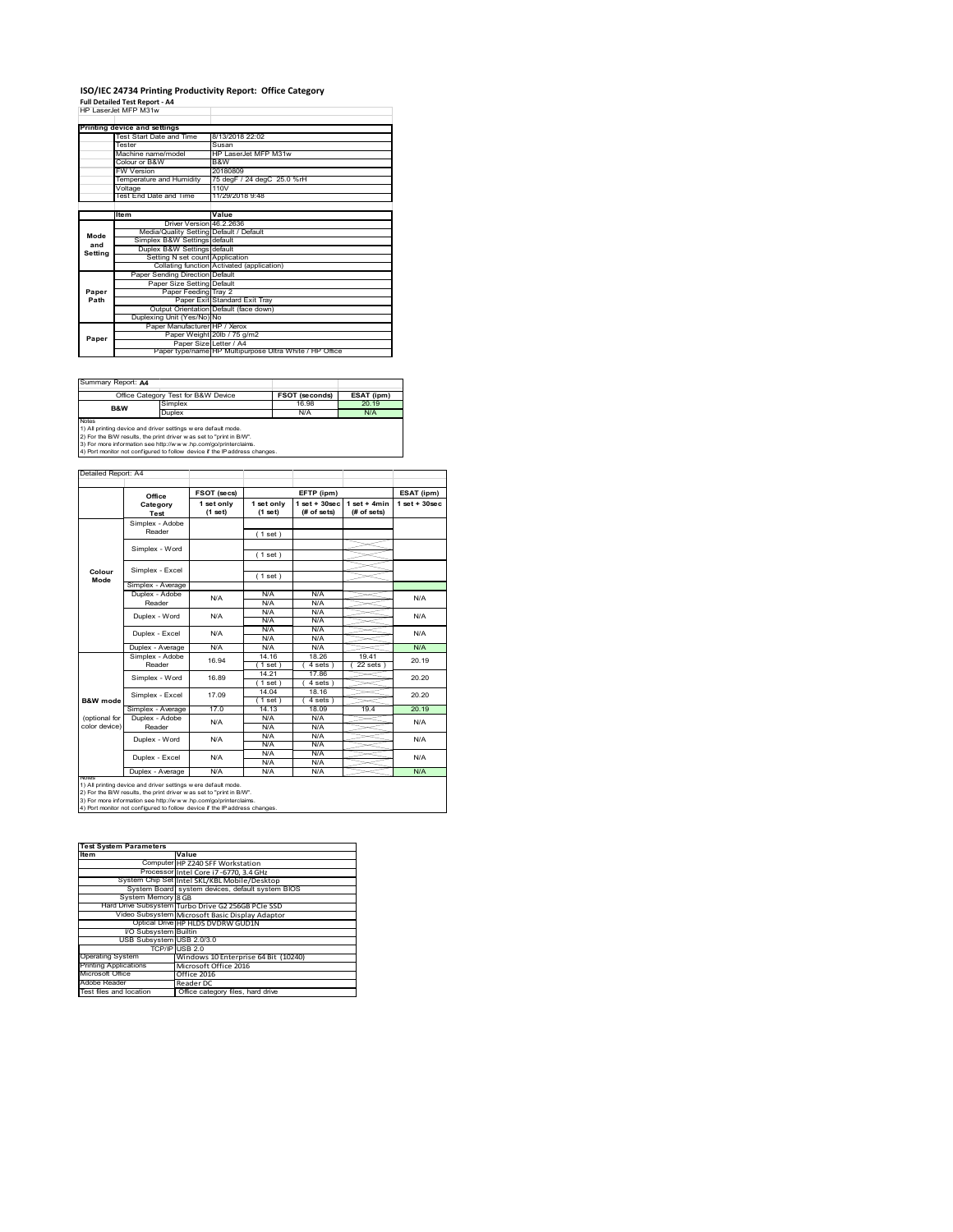### **ISO/IEC 24734 Printing Productivity Report: Office Category Full Detailed Test Report ‐ A4** HP LaserJet MFP M31w

|                | HP LaserJet MFP M31W                    |                                                         |
|----------------|-----------------------------------------|---------------------------------------------------------|
|                | Printing device and settings            |                                                         |
|                | Test Start Date and Time                | 8/13/2018 22:02                                         |
|                | Tester                                  | Susan                                                   |
|                | Machine name/model                      | HP LaserJet MFP M31w                                    |
|                | Colour or B&W                           | B&W                                                     |
|                | <b>FW Version</b>                       | 20180809                                                |
|                | Temperature and Humidity                | 75 degF / 24 degC 25.0 %rH                              |
|                | Voltage                                 | 110V                                                    |
|                | Test End Date and Time                  | 11/29/2018 9:48                                         |
|                |                                         |                                                         |
|                | Item                                    | Value                                                   |
|                | Driver Version 46.2.2636                |                                                         |
| Mode           | Media/Quality Setting Default / Default |                                                         |
| and<br>Setting | Simplex B&W Settings default            |                                                         |
|                | Duplex B&W Settings default             |                                                         |
|                | Setting N set count Application         |                                                         |
|                |                                         | Collating function Activated (application)              |
|                | Paper Sending Direction Default         |                                                         |
|                | Paper Size Setting Default              |                                                         |
| Paper          | Paper Feeding Tray 2                    |                                                         |
| Path           |                                         | Paper Exit Standard Exit Tray                           |
|                |                                         | Output Orientation Default (face down)                  |
|                | Duplexing Unit (Yes/No) No              |                                                         |
|                | Paper Manufacturer HP / Xerox           |                                                         |
| Paper          |                                         | Paper Weight 20lb / 75 g/m2                             |
|                | Paper Size Letter / A4                  |                                                         |
|                |                                         | Paper type/name HP Multipurpose Ultra White / HP Office |

Summary Report: **A4**

|                                                                | Office Category Test for B&W Device | <b>FSOT (seconds)</b> | ESAT (ipm) |  |  |  |
|----------------------------------------------------------------|-------------------------------------|-----------------------|------------|--|--|--|
| B&W                                                            | Simplex                             | 16.98                 | 20.19      |  |  |  |
|                                                                | Duplex                              | N/A                   | N/A        |  |  |  |
| <b>Notes</b>                                                   |                                     |                       |            |  |  |  |
| 1) All printing device and driver settings w ere default mode. |                                     |                       |            |  |  |  |
|                                                                |                                     |                       |            |  |  |  |

1) All printing device and driver settings were default mode.<br>2) For the B/W results, the print driver was set to "print in B/W".<br>3) For more information see http://www.hp.com/go/printerclaims.<br>4) Port monitor not configur

|                     | Office                    | FSOT (secs)             |                       | EFTP (ipm)                      |                                | ESAT (ipm)         |  |
|---------------------|---------------------------|-------------------------|-----------------------|---------------------------------|--------------------------------|--------------------|--|
|                     | Category<br>Test          | 1 set only<br>$(1$ set) | 1 set only<br>(1 set) | $1 set + 30 sec$<br>(# of sets) | $1 set + 4 min$<br>(# of sets) | $1$ set + $30$ sec |  |
|                     | Simplex - Adobe           |                         |                       |                                 |                                |                    |  |
|                     | Reader                    |                         | (1 set)               |                                 |                                |                    |  |
|                     |                           |                         |                       |                                 |                                |                    |  |
|                     | Simplex - Word            |                         | (1 set)               |                                 |                                |                    |  |
|                     |                           |                         |                       |                                 |                                |                    |  |
| Colour<br>Mode      | Simplex - Excel           |                         | (1 set)               |                                 |                                |                    |  |
|                     | Simplex - Average         |                         |                       |                                 |                                |                    |  |
|                     | Duplex - Adobe            | N/A                     | N/A                   | N/A                             |                                | N/A                |  |
|                     | Reader                    |                         | N/A                   | N/A                             |                                |                    |  |
|                     | Duplex - Word             | N/A                     | N/A                   | N/A                             |                                | N/A                |  |
|                     |                           |                         | N/A                   | N/A                             |                                |                    |  |
|                     | Duplex - Excel            | N/A                     | N/A                   | N/A                             |                                | N/A                |  |
|                     |                           |                         | N/A                   | N/A                             |                                |                    |  |
|                     | Duplex - Average          | N/A                     | N/A                   | N/A                             |                                | N/A                |  |
|                     | Simplex - Adobe<br>Reader | 16.94                   | 14.16                 | 18.26                           | 1941                           | 20.19<br>20.20     |  |
|                     |                           |                         | $1$ set $)$           | 4 sets                          | 22 sets                        |                    |  |
|                     | Simplex - Word            | 16.89                   | 14.21                 | 17.86                           |                                |                    |  |
|                     |                           |                         | (1 set)               | 4 sets                          |                                |                    |  |
|                     | Simplex - Excel           | 17.09                   | 14.04                 | 18.16                           |                                | 20.20              |  |
| <b>B&amp;W</b> mode |                           |                         | 1 set                 | 4 sets                          |                                |                    |  |
|                     | Simplex - Average         | 170                     | 14.13                 | 18.09                           | 19.4                           | 20.19              |  |
| (optional for       | Duplex - Adobe            | N/A                     | N/A                   | N/A                             |                                | N/A                |  |
| color device)       | Reader                    |                         | N/A                   | N/A                             |                                |                    |  |
|                     | Duplex - Word             | N/A                     | N/A                   | N/A                             |                                | N/A                |  |
|                     |                           |                         | N/A                   | N/A                             |                                |                    |  |
|                     | Duplex - Excel            | N/A                     | N/A                   | N/A                             |                                | N/A                |  |
|                     |                           |                         | N/A                   | N/A                             |                                |                    |  |
|                     | Duplex - Average          | N/A                     | N/A                   | N/A                             |                                | N/A                |  |

| <b>Test System Parameters</b> |                                                    |  |  |  |
|-------------------------------|----------------------------------------------------|--|--|--|
| <b>Item</b>                   | Value                                              |  |  |  |
|                               | Computer HP Z240 SFF Workstation                   |  |  |  |
|                               | Processor Intel Core i7-6770, 3.4 GHz              |  |  |  |
|                               | System Chip Set Intel SKL/KBL Mobile/Desktop       |  |  |  |
|                               | System Board system devices, default system BIOS   |  |  |  |
| System Memory 8 GB            |                                                    |  |  |  |
|                               | Hard Drive Subsystem Turbo Drive G2 256GB PCIe SSD |  |  |  |
|                               | Video Subsystem Microsoft Basic Display Adaptor    |  |  |  |
|                               | Optical Drive HP HLDS DVDRW GUD1N                  |  |  |  |
| I/O Subsystem Builtin         |                                                    |  |  |  |
| USB Subsystem USB 2.0/3.0     |                                                    |  |  |  |
|                               | TCP/IP USB 2.0                                     |  |  |  |
| <b>Operating System</b>       | Windows 10 Enterprise 64 Bit (10240)               |  |  |  |
| <b>Printing Applications</b>  | Microsoft Office 2016                              |  |  |  |
| Microsoft Office              | Office 2016                                        |  |  |  |
| Adobe Reader                  | Reader DC                                          |  |  |  |
| Test files and location       | Office category files, hard drive                  |  |  |  |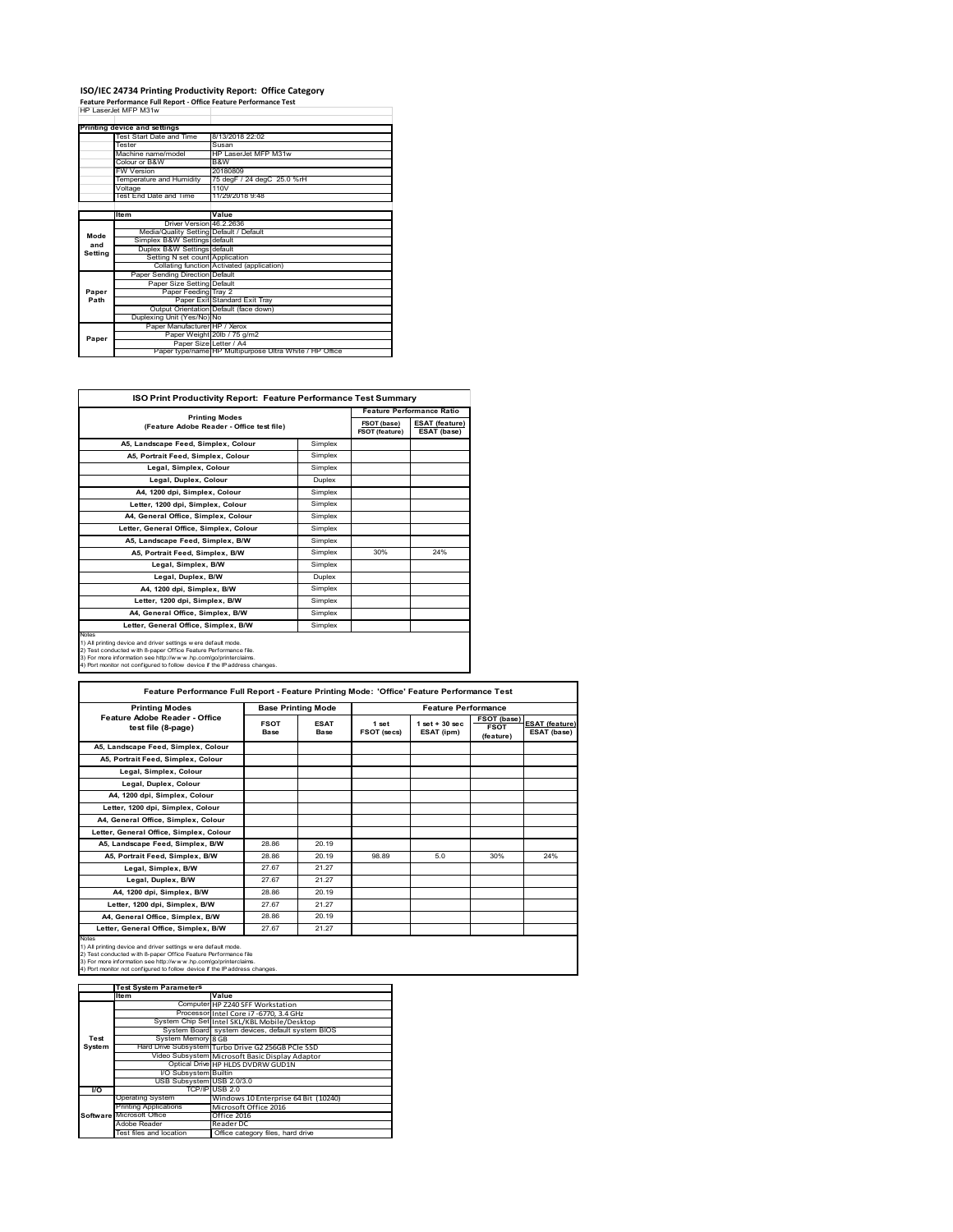# **ISO/IEC 24734 Printing Productivity Report: Office Category Feature Performance Full Report ‐ Office Feature Performance Test** HP LaserJet MFP M31w

|         |                                         | reature renormance run neport - onnee reature renormance rest |
|---------|-----------------------------------------|---------------------------------------------------------------|
|         | HP LaserJet MFP M31w                    |                                                               |
|         |                                         |                                                               |
|         | Printing device and settings            |                                                               |
|         | Test Start Date and Time                | 8/13/2018 22:02                                               |
|         | Tester                                  | Susan                                                         |
|         | Machine name/model                      | HP LaserJet MFP M31w                                          |
|         | Colour or B&W                           | B&W                                                           |
|         | <b>FW Version</b>                       | 20180809                                                      |
|         | Temperature and Humidity                | 75 degF / 24 degC 25.0 %rH                                    |
|         | Voltage                                 | 110V                                                          |
|         | Test End Date and Time                  | 11/29/2018 9:48                                               |
|         |                                         |                                                               |
|         | ltem                                    | Value                                                         |
|         | Driver Version 46 2 2636                |                                                               |
| Mode    | Media/Quality Setting Default / Default |                                                               |
| and     | Simplex B&W Settings default            |                                                               |
| Setting | Duplex B&W Settings default             |                                                               |
|         | Setting N set count Application         |                                                               |
|         |                                         | Collating function Activated (application)                    |
|         | Paper Sending Direction Default         |                                                               |
|         | Paper Size Setting Default              |                                                               |
| Paper   | Paper Feeding Tray 2                    |                                                               |
| Path    |                                         | Paper Exit Standard Exit Tray                                 |
|         |                                         | Output Orientation Default (face down)                        |
|         | Duplexing Unit (Yes/No) No              |                                                               |
|         | Paper Manufacturer HP / Xerox           |                                                               |
| Paper   |                                         | Paper Weight 20lb / 75 g/m2                                   |
|         | Paper Size Letter / A4                  |                                                               |
|         |                                         | Paper type/name HP Multipurpose Ultra White / HP Office       |

| ISO Print Productivity Report: Feature Performance Test Summary                                                                                                                                                                                                                             |               |                                      |                                      |  |
|---------------------------------------------------------------------------------------------------------------------------------------------------------------------------------------------------------------------------------------------------------------------------------------------|---------------|--------------------------------------|--------------------------------------|--|
| <b>Printing Modes</b>                                                                                                                                                                                                                                                                       |               | <b>Feature Performance Ratio</b>     |                                      |  |
| (Feature Adobe Reader - Office test file)                                                                                                                                                                                                                                                   |               | FSOT (base)<br><b>FSOT (feature)</b> | <b>ESAT (feature)</b><br>ESAT (base) |  |
| A5, Landscape Feed, Simplex, Colour                                                                                                                                                                                                                                                         | Simplex       |                                      |                                      |  |
| A5, Portrait Feed, Simplex, Colour                                                                                                                                                                                                                                                          | Simplex       |                                      |                                      |  |
| Legal, Simplex, Colour                                                                                                                                                                                                                                                                      | Simplex       |                                      |                                      |  |
| Legal, Duplex, Colour                                                                                                                                                                                                                                                                       | <b>Duplex</b> |                                      |                                      |  |
| A4, 1200 dpi, Simplex, Colour                                                                                                                                                                                                                                                               | Simplex       |                                      |                                      |  |
| Letter, 1200 dpi, Simplex, Colour                                                                                                                                                                                                                                                           | Simplex       |                                      |                                      |  |
| A4. General Office. Simplex. Colour                                                                                                                                                                                                                                                         | Simplex       |                                      |                                      |  |
| Letter, General Office, Simplex, Colour                                                                                                                                                                                                                                                     | Simplex       |                                      |                                      |  |
| A5. Landscape Feed. Simplex. B/W                                                                                                                                                                                                                                                            | Simplex       |                                      |                                      |  |
| A5, Portrait Feed, Simplex, B/W                                                                                                                                                                                                                                                             | Simplex       | 30%                                  | 24%                                  |  |
| Legal, Simplex, B/W                                                                                                                                                                                                                                                                         | Simplex       |                                      |                                      |  |
| Legal, Duplex, B/W                                                                                                                                                                                                                                                                          | <b>Duplex</b> |                                      |                                      |  |
| A4. 1200 dpi. Simplex, B/W                                                                                                                                                                                                                                                                  | Simplex       |                                      |                                      |  |
| Letter, 1200 dpi, Simplex, B/W                                                                                                                                                                                                                                                              | Simplex       |                                      |                                      |  |
| A4, General Office, Simplex, B/W                                                                                                                                                                                                                                                            | Simplex       |                                      |                                      |  |
| Letter, General Office, Simplex, B/W                                                                                                                                                                                                                                                        | Simplex       |                                      |                                      |  |
| Notes<br>1) All printing device and driver settings w ere default mode.<br>2) Test conducted with 8-paper Office Feature Performance file.<br>3) For more information see http://www.hp.com/go/printerclaims.<br>4) Port monitor not configured to follow device if the IP address changes. |               |                                      |                                      |  |

| <b>Printing Modes</b>                               | <b>Base Printing Mode</b> |                     |                      | <b>Feature Performance</b>       |                                         |                                      |  |
|-----------------------------------------------------|---------------------------|---------------------|----------------------|----------------------------------|-----------------------------------------|--------------------------------------|--|
| Feature Adobe Reader - Office<br>test file (8-page) | <b>FSOT</b><br>Base       | <b>ESAT</b><br>Base | 1 set<br>FSOT (secs) | $1$ set $+30$ sec.<br>ESAT (ipm) | FSOT (base)<br><b>FSOT</b><br>(feature) | <b>ESAT (feature)</b><br>ESAT (base) |  |
| A5, Landscape Feed, Simplex, Colour                 |                           |                     |                      |                                  |                                         |                                      |  |
| A5, Portrait Feed, Simplex, Colour                  |                           |                     |                      |                                  |                                         |                                      |  |
| Legal, Simplex, Colour                              |                           |                     |                      |                                  |                                         |                                      |  |
| Legal, Duplex, Colour                               |                           |                     |                      |                                  |                                         |                                      |  |
| A4, 1200 dpi, Simplex, Colour                       |                           |                     |                      |                                  |                                         |                                      |  |
| Letter, 1200 dpi, Simplex, Colour                   |                           |                     |                      |                                  |                                         |                                      |  |
| A4, General Office, Simplex, Colour                 |                           |                     |                      |                                  |                                         |                                      |  |
| Letter, General Office, Simplex, Colour             |                           |                     |                      |                                  |                                         |                                      |  |
| A5, Landscape Feed, Simplex, B/W                    | 28.86                     | 20 19               |                      |                                  |                                         |                                      |  |
| A5. Portrait Feed. Simplex. B/W                     | 28.86                     | 20.19               | 98.89                | 5.0                              | 30%                                     | 24%                                  |  |
| Legal, Simplex, B/W                                 | 27.67                     | 21.27               |                      |                                  |                                         |                                      |  |
| Legal, Duplex, B/W                                  | 27.67                     | 21.27               |                      |                                  |                                         |                                      |  |
| A4, 1200 dpi, Simplex, B/W                          | 28.86                     | 20.19               |                      |                                  |                                         |                                      |  |
| Letter, 1200 dpi, Simplex, B/W                      | 27.67                     | 21.27               |                      |                                  |                                         |                                      |  |
| A4, General Office, Simplex, B/W                    | 28.86                     | 20.19               |                      |                                  |                                         |                                      |  |
| Letter, General Office, Simplex, B/W                | 27.67                     | 21.27               |                      |                                  |                                         |                                      |  |

Notes<br>1) All printing device and driver settings were default mode.<br>2) Test conducted with 8-paper Office Feature Performance file<br>3) For more information see http://www.hp.com/go/printerclaims.<br>4) Por monitor not configur

|               | <b>Test System Parameters</b> |                                                    |  |  |
|---------------|-------------------------------|----------------------------------------------------|--|--|
|               | <b>Item</b>                   | Value                                              |  |  |
|               |                               | Computer HP Z240 SFF Workstation                   |  |  |
|               |                               | Processor Intel Core i7-6770, 3.4 GHz              |  |  |
|               |                               | System Chip Set Intel SKL/KBL Mobile/Desktop       |  |  |
|               |                               | System Board system devices, default system BIOS   |  |  |
| Test          | System Memory 8 GB            |                                                    |  |  |
| <b>System</b> |                               | Hard Drive Subsystem Turbo Drive G2 256GB PCIe SSD |  |  |
|               |                               | Video Subsystem Microsoft Basic Display Adaptor    |  |  |
|               |                               | Optical Drive HP HLDS DVDRW GUD1N                  |  |  |
|               | I/O Subsystem Builtin         |                                                    |  |  |
|               | USB Subsystem USB 2.0/3.0     |                                                    |  |  |
| <b>VO</b>     |                               | TCP/IP USB 2.0                                     |  |  |
|               | <b>Operating System</b>       | Windows 10 Enterprise 64 Bit (10240)               |  |  |
|               | <b>Printing Applications</b>  | Microsoft Office 2016                              |  |  |
|               | Software Microsoft Office     | Office 2016                                        |  |  |
|               | Adobe Reader                  | Reader DC                                          |  |  |
|               | Test files and location       | Office category files, hard drive                  |  |  |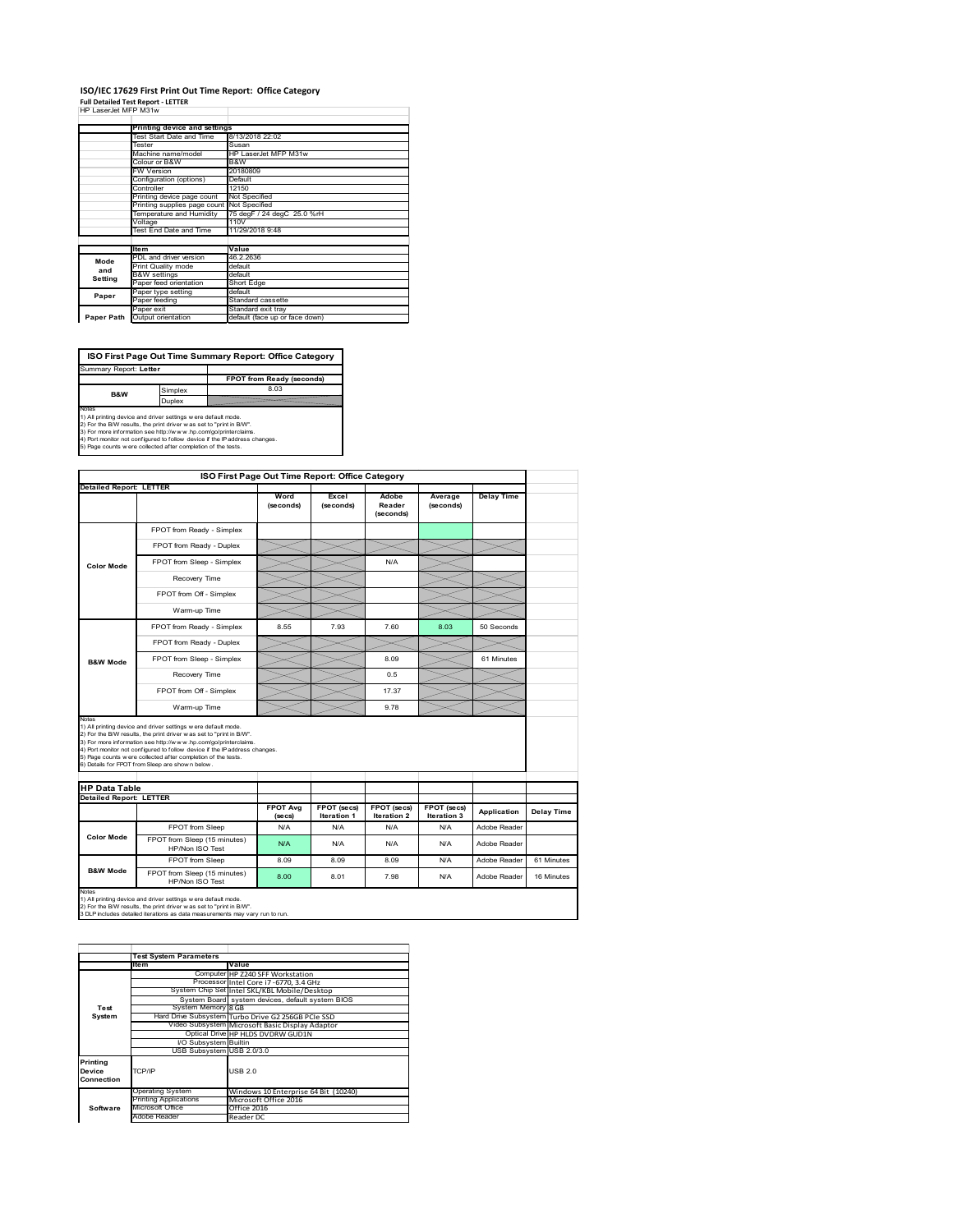### **ISO/IEC 17629 First Print Out Time Report: Office Category Full Detailed Test Report ‐ LETTER** HP LaserJet MFP M31w

|  | HP LaserJet MFP M31w |  |  |
|--|----------------------|--|--|

|            | Printing device and settings               |                                |
|------------|--------------------------------------------|--------------------------------|
|            | Test Start Date and Time                   | 8/13/2018 22:02                |
|            | Tester                                     | Susan                          |
|            | Machine name/model                         | HP LaserJet MFP M31w           |
|            | Colour or B&W                              | B&W                            |
|            | FW Version                                 | 20180809                       |
|            | Configuration (options)                    | Default                        |
|            | Controller                                 | 12150                          |
|            | Printing device page count                 | Not Specified                  |
|            | Printing supplies page count Not Specified |                                |
|            | Temperature and Humidity                   | 75 degF / 24 degC 25.0 %rH     |
|            | Voltage                                    | 110V                           |
|            | Test End Date and Time                     | 11/29/2018 9:48                |
|            |                                            |                                |
|            | <b>Item</b>                                | Value                          |
| Mode       | PDL and driver version                     | 46.2.2636                      |
| and        | Print Quality mode                         | default                        |
| Setting    | <b>B&amp;W</b> settings                    | default                        |
|            | Paper feed orientation                     | <b>Short Edge</b>              |
| Paper      | Paper type setting                         | default                        |
|            | Paper feeding                              | Standard cassette              |
|            | Paper exit                                 | Standard exit tray             |
| Paper Path | Output orientation                         | default (face up or face down) |

**FPOT from Ready (seconds)**<br>Simplex 8.03 **ISO First Page Out Time Summary Report: Office Category** rt: **Letter** 

**B&W**

**Duplex**<br>Notes<br>1) All printing device and driver settings were default mode.<br>2) For the BM results, the print driver was set to "print in BM".<br>4) For more information see http://www.hp.com/golprinterclaims.<br>4) Port monitor

|                                |                                                                                                                                                                                                                                                                                                                                                                                                              | ISO First Page Out Time Report: Office Category |                                   |                                          |                            |                   |            |
|--------------------------------|--------------------------------------------------------------------------------------------------------------------------------------------------------------------------------------------------------------------------------------------------------------------------------------------------------------------------------------------------------------------------------------------------------------|-------------------------------------------------|-----------------------------------|------------------------------------------|----------------------------|-------------------|------------|
| <b>Detailed Report: LETTER</b> |                                                                                                                                                                                                                                                                                                                                                                                                              | Word<br>(seconds)                               | Excel<br>(seconds)                | Adobe<br>Reader<br>(seconds)             | Average<br>(seconds)       | <b>Delay Time</b> |            |
|                                | FPOT from Ready - Simplex                                                                                                                                                                                                                                                                                                                                                                                    |                                                 |                                   |                                          |                            |                   |            |
|                                | FPOT from Ready - Duplex                                                                                                                                                                                                                                                                                                                                                                                     |                                                 |                                   |                                          |                            |                   |            |
| <b>Color Mode</b>              | FPOT from Sleep - Simplex                                                                                                                                                                                                                                                                                                                                                                                    |                                                 |                                   | N/A                                      |                            |                   |            |
|                                | Recovery Time                                                                                                                                                                                                                                                                                                                                                                                                |                                                 |                                   |                                          |                            |                   |            |
|                                | FPOT from Off - Simplex                                                                                                                                                                                                                                                                                                                                                                                      |                                                 |                                   |                                          |                            |                   |            |
|                                | Warm-up Time                                                                                                                                                                                                                                                                                                                                                                                                 |                                                 |                                   |                                          |                            |                   |            |
|                                | FPOT from Ready - Simplex                                                                                                                                                                                                                                                                                                                                                                                    | 8.55                                            | 7.93                              | 7.60                                     | 8.03                       | 50 Seconds        |            |
|                                | FPOT from Ready - Duplex                                                                                                                                                                                                                                                                                                                                                                                     |                                                 |                                   |                                          |                            |                   |            |
| <b>B&amp;W Mode</b>            | FPOT from Sleep - Simplex                                                                                                                                                                                                                                                                                                                                                                                    |                                                 |                                   | 8.09                                     |                            | 61 Minutes        |            |
|                                | Recovery Time                                                                                                                                                                                                                                                                                                                                                                                                |                                                 |                                   | 0.5                                      |                            |                   |            |
|                                |                                                                                                                                                                                                                                                                                                                                                                                                              |                                                 |                                   |                                          |                            |                   |            |
|                                | FPOT from Off - Simplex                                                                                                                                                                                                                                                                                                                                                                                      |                                                 |                                   | 17.37                                    |                            |                   |            |
|                                | Warm-up Time                                                                                                                                                                                                                                                                                                                                                                                                 |                                                 |                                   | 9.78                                     |                            |                   |            |
| Notes<br><b>HP Data Table</b>  | 1) All printing device and driver settings w ere default mode.<br>2) For the B/W results, the print driver w as set to "print in B/W".<br>3) For more information see http://www.hp.com/go/printerclaims.<br>4) Port monitor not configured to follow device if the IP address changes.<br>5) Page counts w ere collected after completion of the tests.<br>6) Details for FPOT from Sleep are show n below. |                                                 |                                   |                                          |                            |                   |            |
| <b>Detailed Report: LETTER</b> |                                                                                                                                                                                                                                                                                                                                                                                                              |                                                 |                                   |                                          |                            |                   |            |
|                                |                                                                                                                                                                                                                                                                                                                                                                                                              | <b>FPOT Avg</b><br>(se cs)                      | FPOT (secs)<br><b>Iteration 1</b> | <b>FPOT</b> (secs)<br><b>Iteration 2</b> | FPOT (secs)<br>Iteration 3 | Application       | Delay Time |
|                                | FPOT from Sleep                                                                                                                                                                                                                                                                                                                                                                                              | N/A                                             | N/A                               | N/A                                      | N/A                        | Adobe Reader      |            |
| <b>Color Mode</b>              | FPOT from Sleep (15 minutes)<br>HP/Non ISO Test                                                                                                                                                                                                                                                                                                                                                              | N/A                                             | N/A                               | N/A                                      | N/A                        | Adobe Reader      |            |
| <b>B&amp;W Mode</b>            | FPOT from Sleep                                                                                                                                                                                                                                                                                                                                                                                              | 8.09                                            | 8.09                              | 8.09                                     | N/A                        | Adobe Reader      | 61 Minutes |

1) All printing device and driver settings w ere default mode.<br>2) For the B/W results, the print driver w as set to "print in B/W".<br>3 DLP includes detailed iterations as data measurements may vary run to run.

|            | <b>Test System Parameters</b> |                                                    |
|------------|-------------------------------|----------------------------------------------------|
|            | <b>Item</b>                   | Value                                              |
|            |                               | Computer HP Z240 SFF Workstation                   |
|            |                               | Processor Intel Core i7-6770, 3.4 GHz              |
|            |                               | System Chip Set Intel SKL/KBL Mobile/Desktop       |
|            |                               | System Board system devices, default system BIOS   |
| Test       | System Memory 8 GB            |                                                    |
| System     |                               | Hard Drive Subsystem Turbo Drive G2 256GB PCIe SSD |
|            |                               | Video Subsystem Microsoft Basic Display Adaptor    |
|            |                               | Optical Drive HP HLDS DVDRW GUD1N                  |
|            | I/O Subsystem Builtin         |                                                    |
|            | USB Subsystem USB 2.0/3.0     |                                                    |
| Printing   |                               |                                                    |
| Device     | TCP/IP                        | USB <sub>20</sub>                                  |
| Connection |                               |                                                    |
|            | Operating System              | Windows 10 Enterprise 64 Bit (10240)               |
|            | <b>Printing Applications</b>  | Microsoft Office 2016                              |
| Software   | Microsoft Office              | Office 2016                                        |
|            | Adobe Reader                  | Reader DC                                          |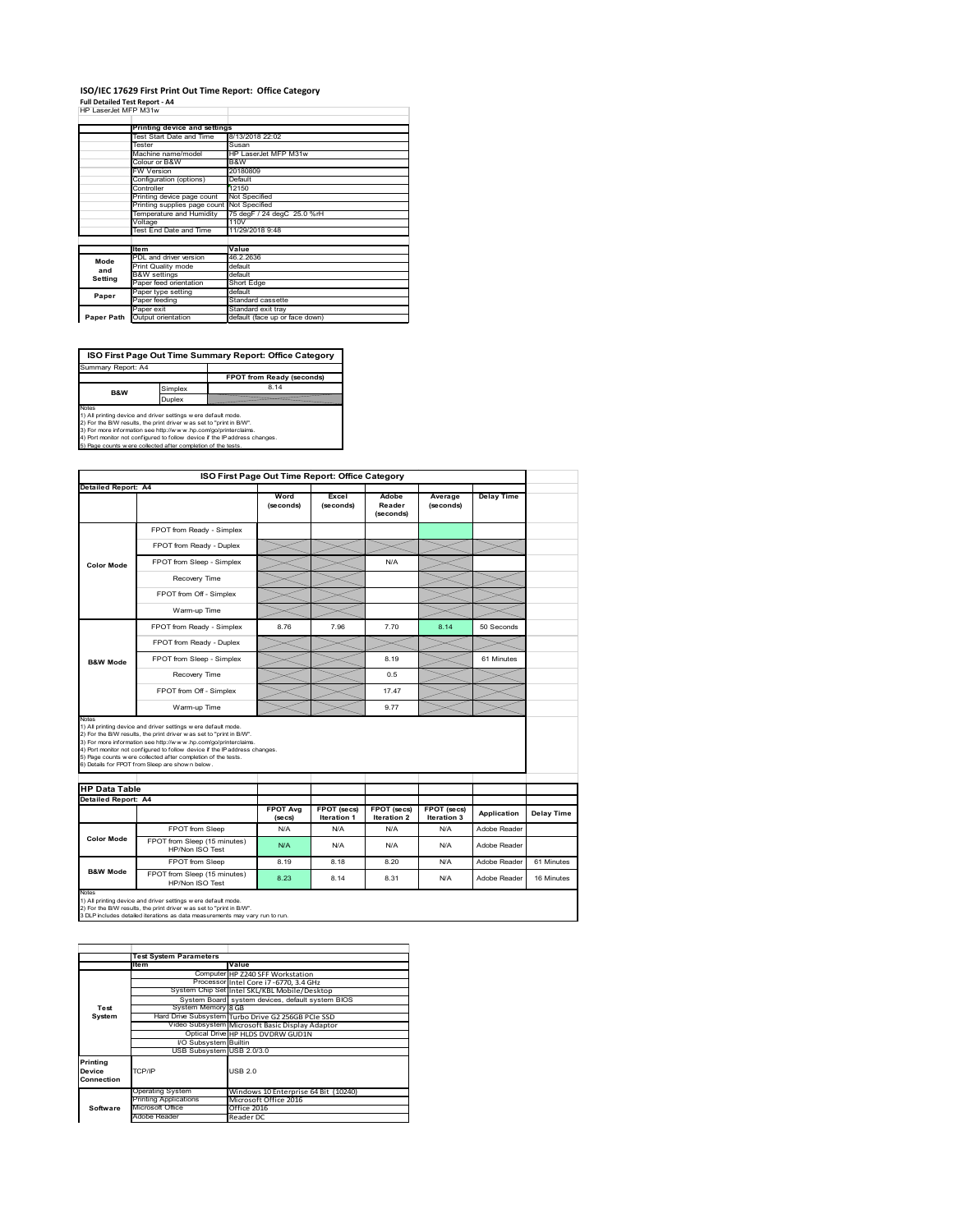### **ISO/IEC 17629 First Print Out Time Report: Office Category Full Detailed Test Report ‐ A4** HP LaserJet MFP M31w

| HP LaserJet MFP M31w | . <del>.</del> |  |
|----------------------|----------------|--|
|                      |                |  |

|            | Printing device and settings               |                                |
|------------|--------------------------------------------|--------------------------------|
|            | Test Start Date and Time                   | 8/13/2018 22:02                |
|            | Tester                                     | Susan                          |
|            | Machine name/model                         | HP LaserJet MFP M31w           |
|            | Colour or B&W                              | B&W                            |
|            | FW Version                                 | 20180809                       |
|            | Configuration (options)                    | Default                        |
|            | Controller                                 | 12150                          |
|            | Printing device page count                 | Not Specified                  |
|            | Printing supplies page count Not Specified |                                |
|            | Temperature and Humidity                   | 75 degF / 24 degC 25.0 %rH     |
|            | Voltage                                    | 110V                           |
|            | Test End Date and Time                     | 11/29/2018 9:48                |
|            |                                            |                                |
|            | <b>Item</b>                                | Value                          |
| Mode       | PDL and driver version                     | 46.2.2636                      |
| and        | Print Quality mode                         | default                        |
| Setting    | <b>B&amp;W</b> settings                    | default                        |
|            | Paper feed orientation                     | Short Edge                     |
| Paper      | Paper type setting                         | default                        |
|            | Paper feeding                              | Standard cassette              |
|            | Paper exit                                 | Standard exit tray             |
| Paper Path | Output orientation                         | default (face up or face down) |

**ISO First Page Out Time Summary Report: Office Category**

**FPOT from Ready (seconds)** Simplex 8.14 Duplex Notes<br>1) All printing device and driver settings were default mode.<br>2) For the BAV results, the print driver was set to "print in BAV".<br>3) For more information see http://www.hp.com/golprinterclaims.<br>4) Port monitor not co Summary Report: A4 **B&W**

|                                             | ISO First Page Out Time Report: Office Category                                                                                                                                                                                                                                                                                                                                                             |                            |                                   |                              |                            |                   |                   |
|---------------------------------------------|-------------------------------------------------------------------------------------------------------------------------------------------------------------------------------------------------------------------------------------------------------------------------------------------------------------------------------------------------------------------------------------------------------------|----------------------------|-----------------------------------|------------------------------|----------------------------|-------------------|-------------------|
| Detailed Report: A4                         |                                                                                                                                                                                                                                                                                                                                                                                                             | Word<br>(seconds)          | Excel<br>(seconds)                | Adobe<br>Reader<br>(seconds) | Average<br>(seconds)       | <b>Delay Time</b> |                   |
|                                             | FPOT from Ready - Simplex                                                                                                                                                                                                                                                                                                                                                                                   |                            |                                   |                              |                            |                   |                   |
|                                             |                                                                                                                                                                                                                                                                                                                                                                                                             |                            |                                   |                              |                            |                   |                   |
|                                             | FPOT from Ready - Duplex                                                                                                                                                                                                                                                                                                                                                                                    |                            |                                   |                              |                            |                   |                   |
| <b>Color Mode</b>                           | FPOT from Sleep - Simplex                                                                                                                                                                                                                                                                                                                                                                                   |                            |                                   | N/A                          |                            |                   |                   |
|                                             | Recovery Time                                                                                                                                                                                                                                                                                                                                                                                               |                            |                                   |                              |                            |                   |                   |
|                                             | FPOT from Off - Simplex                                                                                                                                                                                                                                                                                                                                                                                     |                            |                                   |                              |                            |                   |                   |
|                                             | Warm-up Time                                                                                                                                                                                                                                                                                                                                                                                                |                            |                                   |                              |                            |                   |                   |
|                                             | FPOT from Ready - Simplex                                                                                                                                                                                                                                                                                                                                                                                   | 8.76                       | 7.96                              | 7.70                         | 8.14                       | 50 Seconds        |                   |
|                                             | FPOT from Ready - Duplex                                                                                                                                                                                                                                                                                                                                                                                    |                            |                                   |                              |                            |                   |                   |
| <b>B&amp;W Mode</b>                         | FPOT from Sleep - Simplex                                                                                                                                                                                                                                                                                                                                                                                   |                            |                                   | 8.19                         |                            | 61 Minutes        |                   |
|                                             | Recovery Time                                                                                                                                                                                                                                                                                                                                                                                               |                            |                                   | 0.5                          |                            |                   |                   |
|                                             |                                                                                                                                                                                                                                                                                                                                                                                                             |                            |                                   |                              |                            |                   |                   |
|                                             | FPOT from Off - Simplex                                                                                                                                                                                                                                                                                                                                                                                     |                            |                                   | 1747                         |                            |                   |                   |
| Notes                                       | Warm-up Time                                                                                                                                                                                                                                                                                                                                                                                                |                            |                                   | 9.77                         |                            |                   |                   |
|                                             | 1) All printing device and driver settings w ere default mode.<br>2) For the B/W results, the print driver was set to "print in B/W".<br>3) For more information see http://www.hp.com/go/printerclaims.<br>4) Port monitor not configured to follow device if the IP address changes.<br>5) Page counts w ere collected after completion of the tests.<br>6) Details for FPOT from Sleep are show n below. |                            |                                   |                              |                            |                   |                   |
|                                             |                                                                                                                                                                                                                                                                                                                                                                                                             |                            |                                   |                              |                            |                   |                   |
| <b>HP Data Table</b><br>Detailed Report: A4 |                                                                                                                                                                                                                                                                                                                                                                                                             | <b>FPOT Avg</b><br>(se cs) | FPOT (secs)<br><b>Iteration 1</b> | FPOT (secs)<br>Iteration 2   | FPOT (secs)<br>Iteration 3 | Application       |                   |
|                                             | FPOT from Sleep                                                                                                                                                                                                                                                                                                                                                                                             | N/A                        | N/A                               | N/A                          | N/A                        | Adobe Reader      | <b>Delay Time</b> |
| <b>Color Mode</b>                           | FPOT from Sleep (15 minutes)<br>HP/Non ISO Test                                                                                                                                                                                                                                                                                                                                                             | N/A                        | N/A                               | N/A                          | N/A                        | Adobe Reader      |                   |
| <b>B&amp;W Mode</b>                         | FPOT from Sleep                                                                                                                                                                                                                                                                                                                                                                                             | 8.19                       | 8.18                              | 8.20                         | N/A                        | Adobe Reader      | 61 Minutes        |

1) All printing device and driver settings w ere default mode.<br>2) For the B/W results, the print driver w as set to "print in B/W".<br>3 DLP includes detailed iterations as data measurements may vary run to run.

|            | <b>Test System Parameters</b> |                                                    |
|------------|-------------------------------|----------------------------------------------------|
|            | <b>Item</b>                   | Value                                              |
|            |                               | Computer HP Z240 SFF Workstation                   |
|            |                               | Processor Intel Core i7-6770, 3.4 GHz              |
|            |                               | System Chip Set Intel SKL/KBL Mobile/Desktop       |
|            |                               | System Board system devices, default system BIOS   |
| Test       | System Memory 8 GB            |                                                    |
| System     |                               | Hard Drive Subsystem Turbo Drive G2 256GB PCIe SSD |
|            |                               | Video Subsystem Microsoft Basic Display Adaptor    |
|            |                               | Optical Drive HP HLDS DVDRW GUD1N                  |
|            | I/O Subsystem Builtin         |                                                    |
|            | USB Subsystem USB 2.0/3.0     |                                                    |
| Printing   |                               |                                                    |
| Device     | TCP/IP                        | USB <sub>20</sub>                                  |
| Connection |                               |                                                    |
|            | Operating System              | Windows 10 Enterprise 64 Bit (10240)               |
|            | <b>Printing Applications</b>  | Microsoft Office 2016                              |
| Software   | Microsoft Office              | Office 2016                                        |
|            | Adobe Reader                  | Reader DC                                          |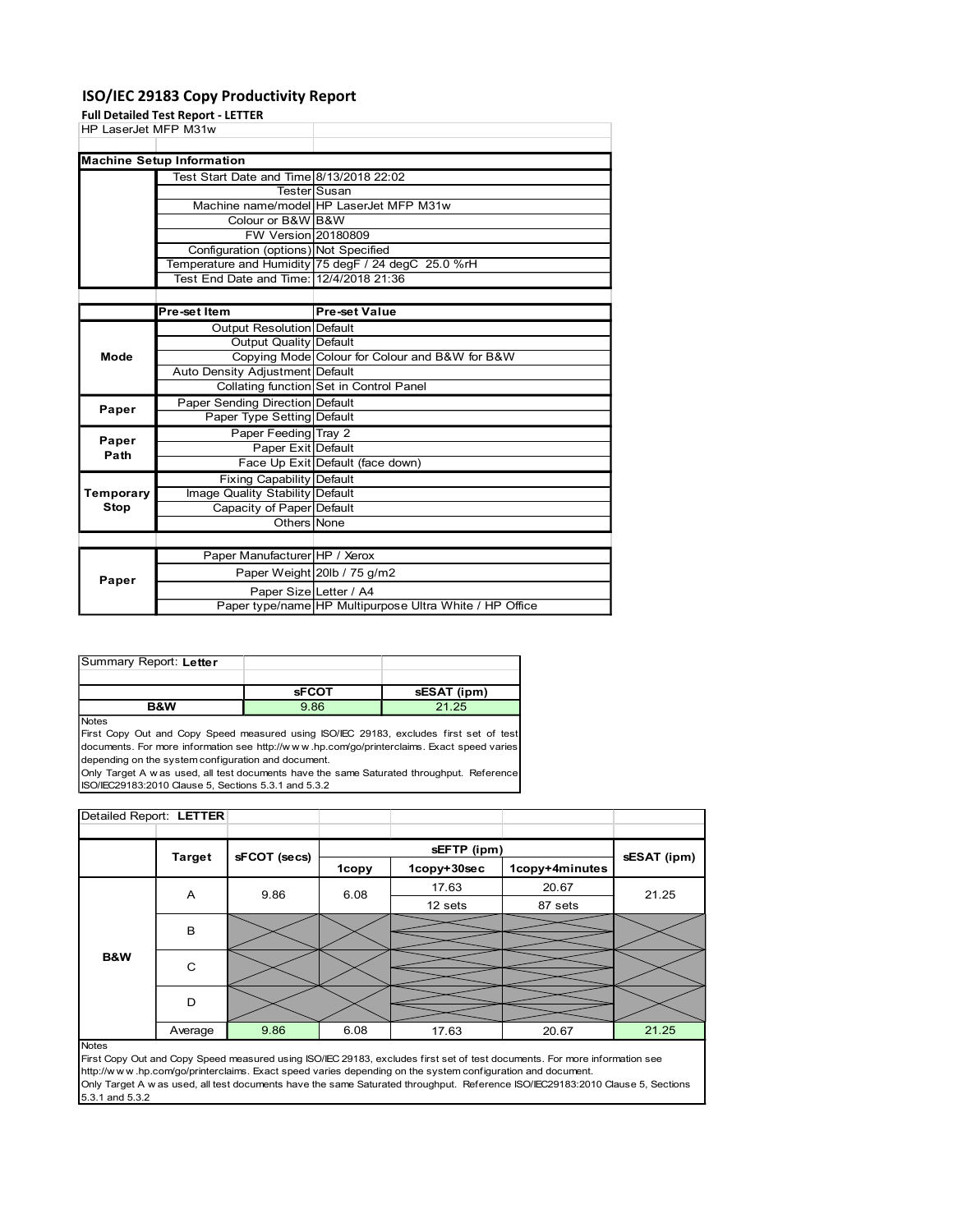## ISO/IEC 29183 Copy Productivity Report

| Test Start Date and Time 8/13/2018 22:02<br>Tester Susan<br>Machine name/model HP LaserJet MFP M31w<br>Colour or B&W B&W<br><b>FW Version 20180809</b><br>Configuration (options) Not Specified<br>Temperature and Humidity 75 degF / 24 degC 25.0 %rH<br>Test End Date and Time: 12/4/2018 21:36<br><b>Pre-set Value</b><br>Pre-set Item<br><b>Output Resolution Default</b><br><b>Output Quality Default</b><br>Copying Mode Colour for Colour and B&W for B&W<br>Mode<br>Auto Density Adjustment Default<br>Collating function Set in Control Panel<br>Paper Sending Direction Default<br>Paper<br>Paper Type Setting Default<br>Paper Feeding Tray 2<br>Paper<br>Paper Exit Default<br>Path<br>Face Up Exit Default (face down)<br><b>Fixing Capability Default</b><br>Image Quality Stability Default<br><b>Stop</b><br>Capacity of Paper Default<br>Others None<br>Paper Manufacturer HP / Xerox<br>Paper Weight 20lb / 75 g/m2<br>Paper<br>Paper Size Letter / A4<br>Paper type/name HP Multipurpose Ultra White / HP Office<br><b>sFCOT</b><br>sESAT (ipm)<br>B&W<br>9.86<br>21.25<br>sEFTP (ipm)<br><b>Target</b><br>sFCOT (secs)<br>sESAT (ipm) | Temporary<br>Summary Report: Letter<br>Notes<br>First Copy Out and Copy Speed measured using ISO/IEC 29183, excludes first set of test<br>documents. For more information see http://www.hp.com/go/printerclaims. Exact speed varies<br>depending on the system configuration and document.<br>Only Target A w as used, all test documents have the same Saturated throughput. Reference<br>ISO/IEC29183:2010 Clause 5, Sections 5.3.1 and 5.3.2<br>Detailed Report: LETTER |  |                                  |                                           |  |                      |  |
|-----------------------------------------------------------------------------------------------------------------------------------------------------------------------------------------------------------------------------------------------------------------------------------------------------------------------------------------------------------------------------------------------------------------------------------------------------------------------------------------------------------------------------------------------------------------------------------------------------------------------------------------------------------------------------------------------------------------------------------------------------------------------------------------------------------------------------------------------------------------------------------------------------------------------------------------------------------------------------------------------------------------------------------------------------------------------------------------------------------------------------------------------------------|-----------------------------------------------------------------------------------------------------------------------------------------------------------------------------------------------------------------------------------------------------------------------------------------------------------------------------------------------------------------------------------------------------------------------------------------------------------------------------|--|----------------------------------|-------------------------------------------|--|----------------------|--|
|                                                                                                                                                                                                                                                                                                                                                                                                                                                                                                                                                                                                                                                                                                                                                                                                                                                                                                                                                                                                                                                                                                                                                           |                                                                                                                                                                                                                                                                                                                                                                                                                                                                             |  |                                  |                                           |  |                      |  |
|                                                                                                                                                                                                                                                                                                                                                                                                                                                                                                                                                                                                                                                                                                                                                                                                                                                                                                                                                                                                                                                                                                                                                           |                                                                                                                                                                                                                                                                                                                                                                                                                                                                             |  |                                  |                                           |  |                      |  |
|                                                                                                                                                                                                                                                                                                                                                                                                                                                                                                                                                                                                                                                                                                                                                                                                                                                                                                                                                                                                                                                                                                                                                           |                                                                                                                                                                                                                                                                                                                                                                                                                                                                             |  |                                  |                                           |  |                      |  |
|                                                                                                                                                                                                                                                                                                                                                                                                                                                                                                                                                                                                                                                                                                                                                                                                                                                                                                                                                                                                                                                                                                                                                           |                                                                                                                                                                                                                                                                                                                                                                                                                                                                             |  |                                  |                                           |  |                      |  |
|                                                                                                                                                                                                                                                                                                                                                                                                                                                                                                                                                                                                                                                                                                                                                                                                                                                                                                                                                                                                                                                                                                                                                           |                                                                                                                                                                                                                                                                                                                                                                                                                                                                             |  |                                  |                                           |  |                      |  |
|                                                                                                                                                                                                                                                                                                                                                                                                                                                                                                                                                                                                                                                                                                                                                                                                                                                                                                                                                                                                                                                                                                                                                           |                                                                                                                                                                                                                                                                                                                                                                                                                                                                             |  |                                  |                                           |  |                      |  |
|                                                                                                                                                                                                                                                                                                                                                                                                                                                                                                                                                                                                                                                                                                                                                                                                                                                                                                                                                                                                                                                                                                                                                           |                                                                                                                                                                                                                                                                                                                                                                                                                                                                             |  |                                  |                                           |  |                      |  |
|                                                                                                                                                                                                                                                                                                                                                                                                                                                                                                                                                                                                                                                                                                                                                                                                                                                                                                                                                                                                                                                                                                                                                           |                                                                                                                                                                                                                                                                                                                                                                                                                                                                             |  |                                  |                                           |  |                      |  |
|                                                                                                                                                                                                                                                                                                                                                                                                                                                                                                                                                                                                                                                                                                                                                                                                                                                                                                                                                                                                                                                                                                                                                           |                                                                                                                                                                                                                                                                                                                                                                                                                                                                             |  |                                  |                                           |  |                      |  |
|                                                                                                                                                                                                                                                                                                                                                                                                                                                                                                                                                                                                                                                                                                                                                                                                                                                                                                                                                                                                                                                                                                                                                           |                                                                                                                                                                                                                                                                                                                                                                                                                                                                             |  |                                  |                                           |  |                      |  |
|                                                                                                                                                                                                                                                                                                                                                                                                                                                                                                                                                                                                                                                                                                                                                                                                                                                                                                                                                                                                                                                                                                                                                           |                                                                                                                                                                                                                                                                                                                                                                                                                                                                             |  |                                  |                                           |  |                      |  |
|                                                                                                                                                                                                                                                                                                                                                                                                                                                                                                                                                                                                                                                                                                                                                                                                                                                                                                                                                                                                                                                                                                                                                           |                                                                                                                                                                                                                                                                                                                                                                                                                                                                             |  |                                  |                                           |  |                      |  |
|                                                                                                                                                                                                                                                                                                                                                                                                                                                                                                                                                                                                                                                                                                                                                                                                                                                                                                                                                                                                                                                                                                                                                           |                                                                                                                                                                                                                                                                                                                                                                                                                                                                             |  |                                  |                                           |  |                      |  |
|                                                                                                                                                                                                                                                                                                                                                                                                                                                                                                                                                                                                                                                                                                                                                                                                                                                                                                                                                                                                                                                                                                                                                           |                                                                                                                                                                                                                                                                                                                                                                                                                                                                             |  |                                  |                                           |  |                      |  |
|                                                                                                                                                                                                                                                                                                                                                                                                                                                                                                                                                                                                                                                                                                                                                                                                                                                                                                                                                                                                                                                                                                                                                           |                                                                                                                                                                                                                                                                                                                                                                                                                                                                             |  |                                  |                                           |  |                      |  |
|                                                                                                                                                                                                                                                                                                                                                                                                                                                                                                                                                                                                                                                                                                                                                                                                                                                                                                                                                                                                                                                                                                                                                           |                                                                                                                                                                                                                                                                                                                                                                                                                                                                             |  |                                  |                                           |  |                      |  |
|                                                                                                                                                                                                                                                                                                                                                                                                                                                                                                                                                                                                                                                                                                                                                                                                                                                                                                                                                                                                                                                                                                                                                           |                                                                                                                                                                                                                                                                                                                                                                                                                                                                             |  |                                  |                                           |  |                      |  |
|                                                                                                                                                                                                                                                                                                                                                                                                                                                                                                                                                                                                                                                                                                                                                                                                                                                                                                                                                                                                                                                                                                                                                           |                                                                                                                                                                                                                                                                                                                                                                                                                                                                             |  |                                  |                                           |  |                      |  |
|                                                                                                                                                                                                                                                                                                                                                                                                                                                                                                                                                                                                                                                                                                                                                                                                                                                                                                                                                                                                                                                                                                                                                           |                                                                                                                                                                                                                                                                                                                                                                                                                                                                             |  |                                  |                                           |  |                      |  |
|                                                                                                                                                                                                                                                                                                                                                                                                                                                                                                                                                                                                                                                                                                                                                                                                                                                                                                                                                                                                                                                                                                                                                           |                                                                                                                                                                                                                                                                                                                                                                                                                                                                             |  |                                  |                                           |  |                      |  |
|                                                                                                                                                                                                                                                                                                                                                                                                                                                                                                                                                                                                                                                                                                                                                                                                                                                                                                                                                                                                                                                                                                                                                           |                                                                                                                                                                                                                                                                                                                                                                                                                                                                             |  |                                  |                                           |  |                      |  |
|                                                                                                                                                                                                                                                                                                                                                                                                                                                                                                                                                                                                                                                                                                                                                                                                                                                                                                                                                                                                                                                                                                                                                           |                                                                                                                                                                                                                                                                                                                                                                                                                                                                             |  |                                  |                                           |  |                      |  |
|                                                                                                                                                                                                                                                                                                                                                                                                                                                                                                                                                                                                                                                                                                                                                                                                                                                                                                                                                                                                                                                                                                                                                           |                                                                                                                                                                                                                                                                                                                                                                                                                                                                             |  |                                  |                                           |  |                      |  |
|                                                                                                                                                                                                                                                                                                                                                                                                                                                                                                                                                                                                                                                                                                                                                                                                                                                                                                                                                                                                                                                                                                                                                           |                                                                                                                                                                                                                                                                                                                                                                                                                                                                             |  |                                  |                                           |  |                      |  |
|                                                                                                                                                                                                                                                                                                                                                                                                                                                                                                                                                                                                                                                                                                                                                                                                                                                                                                                                                                                                                                                                                                                                                           |                                                                                                                                                                                                                                                                                                                                                                                                                                                                             |  |                                  |                                           |  |                      |  |
|                                                                                                                                                                                                                                                                                                                                                                                                                                                                                                                                                                                                                                                                                                                                                                                                                                                                                                                                                                                                                                                                                                                                                           |                                                                                                                                                                                                                                                                                                                                                                                                                                                                             |  |                                  |                                           |  |                      |  |
|                                                                                                                                                                                                                                                                                                                                                                                                                                                                                                                                                                                                                                                                                                                                                                                                                                                                                                                                                                                                                                                                                                                                                           |                                                                                                                                                                                                                                                                                                                                                                                                                                                                             |  |                                  |                                           |  |                      |  |
|                                                                                                                                                                                                                                                                                                                                                                                                                                                                                                                                                                                                                                                                                                                                                                                                                                                                                                                                                                                                                                                                                                                                                           |                                                                                                                                                                                                                                                                                                                                                                                                                                                                             |  |                                  |                                           |  |                      |  |
|                                                                                                                                                                                                                                                                                                                                                                                                                                                                                                                                                                                                                                                                                                                                                                                                                                                                                                                                                                                                                                                                                                                                                           |                                                                                                                                                                                                                                                                                                                                                                                                                                                                             |  |                                  |                                           |  |                      |  |
|                                                                                                                                                                                                                                                                                                                                                                                                                                                                                                                                                                                                                                                                                                                                                                                                                                                                                                                                                                                                                                                                                                                                                           |                                                                                                                                                                                                                                                                                                                                                                                                                                                                             |  |                                  |                                           |  |                      |  |
|                                                                                                                                                                                                                                                                                                                                                                                                                                                                                                                                                                                                                                                                                                                                                                                                                                                                                                                                                                                                                                                                                                                                                           |                                                                                                                                                                                                                                                                                                                                                                                                                                                                             |  |                                  |                                           |  |                      |  |
|                                                                                                                                                                                                                                                                                                                                                                                                                                                                                                                                                                                                                                                                                                                                                                                                                                                                                                                                                                                                                                                                                                                                                           |                                                                                                                                                                                                                                                                                                                                                                                                                                                                             |  |                                  |                                           |  |                      |  |
|                                                                                                                                                                                                                                                                                                                                                                                                                                                                                                                                                                                                                                                                                                                                                                                                                                                                                                                                                                                                                                                                                                                                                           |                                                                                                                                                                                                                                                                                                                                                                                                                                                                             |  |                                  |                                           |  |                      |  |
|                                                                                                                                                                                                                                                                                                                                                                                                                                                                                                                                                                                                                                                                                                                                                                                                                                                                                                                                                                                                                                                                                                                                                           |                                                                                                                                                                                                                                                                                                                                                                                                                                                                             |  |                                  |                                           |  |                      |  |
|                                                                                                                                                                                                                                                                                                                                                                                                                                                                                                                                                                                                                                                                                                                                                                                                                                                                                                                                                                                                                                                                                                                                                           |                                                                                                                                                                                                                                                                                                                                                                                                                                                                             |  |                                  |                                           |  |                      |  |
|                                                                                                                                                                                                                                                                                                                                                                                                                                                                                                                                                                                                                                                                                                                                                                                                                                                                                                                                                                                                                                                                                                                                                           |                                                                                                                                                                                                                                                                                                                                                                                                                                                                             |  |                                  |                                           |  |                      |  |
|                                                                                                                                                                                                                                                                                                                                                                                                                                                                                                                                                                                                                                                                                                                                                                                                                                                                                                                                                                                                                                                                                                                                                           |                                                                                                                                                                                                                                                                                                                                                                                                                                                                             |  |                                  |                                           |  |                      |  |
|                                                                                                                                                                                                                                                                                                                                                                                                                                                                                                                                                                                                                                                                                                                                                                                                                                                                                                                                                                                                                                                                                                                                                           |                                                                                                                                                                                                                                                                                                                                                                                                                                                                             |  |                                  |                                           |  |                      |  |
|                                                                                                                                                                                                                                                                                                                                                                                                                                                                                                                                                                                                                                                                                                                                                                                                                                                                                                                                                                                                                                                                                                                                                           |                                                                                                                                                                                                                                                                                                                                                                                                                                                                             |  |                                  |                                           |  |                      |  |
|                                                                                                                                                                                                                                                                                                                                                                                                                                                                                                                                                                                                                                                                                                                                                                                                                                                                                                                                                                                                                                                                                                                                                           |                                                                                                                                                                                                                                                                                                                                                                                                                                                                             |  |                                  |                                           |  |                      |  |
|                                                                                                                                                                                                                                                                                                                                                                                                                                                                                                                                                                                                                                                                                                                                                                                                                                                                                                                                                                                                                                                                                                                                                           |                                                                                                                                                                                                                                                                                                                                                                                                                                                                             |  |                                  |                                           |  |                      |  |
|                                                                                                                                                                                                                                                                                                                                                                                                                                                                                                                                                                                                                                                                                                                                                                                                                                                                                                                                                                                                                                                                                                                                                           |                                                                                                                                                                                                                                                                                                                                                                                                                                                                             |  |                                  |                                           |  |                      |  |
|                                                                                                                                                                                                                                                                                                                                                                                                                                                                                                                                                                                                                                                                                                                                                                                                                                                                                                                                                                                                                                                                                                                                                           |                                                                                                                                                                                                                                                                                                                                                                                                                                                                             |  | <b>Machine Setup Information</b> |                                           |  |                      |  |
|                                                                                                                                                                                                                                                                                                                                                                                                                                                                                                                                                                                                                                                                                                                                                                                                                                                                                                                                                                                                                                                                                                                                                           |                                                                                                                                                                                                                                                                                                                                                                                                                                                                             |  |                                  | <b>Full Detailed Test Report - LETTER</b> |  | HP LaserJet MFP M31w |  |
|                                                                                                                                                                                                                                                                                                                                                                                                                                                                                                                                                                                                                                                                                                                                                                                                                                                                                                                                                                                                                                                                                                                                                           |                                                                                                                                                                                                                                                                                                                                                                                                                                                                             |  |                                  |                                           |  |                      |  |
|                                                                                                                                                                                                                                                                                                                                                                                                                                                                                                                                                                                                                                                                                                                                                                                                                                                                                                                                                                                                                                                                                                                                                           |                                                                                                                                                                                                                                                                                                                                                                                                                                                                             |  |                                  |                                           |  |                      |  |
|                                                                                                                                                                                                                                                                                                                                                                                                                                                                                                                                                                                                                                                                                                                                                                                                                                                                                                                                                                                                                                                                                                                                                           |                                                                                                                                                                                                                                                                                                                                                                                                                                                                             |  |                                  |                                           |  |                      |  |
|                                                                                                                                                                                                                                                                                                                                                                                                                                                                                                                                                                                                                                                                                                                                                                                                                                                                                                                                                                                                                                                                                                                                                           |                                                                                                                                                                                                                                                                                                                                                                                                                                                                             |  |                                  |                                           |  |                      |  |

| Summary Report: Letter |              |             |
|------------------------|--------------|-------------|
|                        |              |             |
|                        | <b>sFCOT</b> | sESAT (ipm) |
|                        | 9.86         | 21.25       |

|                         |                | Face Up Exit Default (face down)                                                                            | <b>Fapel EXILIDEIAUIL</b> |                                                                                                                                                                                                                                                                                   |                  |             |
|-------------------------|----------------|-------------------------------------------------------------------------------------------------------------|---------------------------|-----------------------------------------------------------------------------------------------------------------------------------------------------------------------------------------------------------------------------------------------------------------------------------|------------------|-------------|
|                         |                | Fixing Capability Default                                                                                   |                           |                                                                                                                                                                                                                                                                                   |                  |             |
| Temporary               |                | Image Quality Stability Default                                                                             |                           |                                                                                                                                                                                                                                                                                   |                  |             |
| Stop                    |                | Capacity of Paper Default                                                                                   |                           |                                                                                                                                                                                                                                                                                   |                  |             |
|                         |                | Others None                                                                                                 |                           |                                                                                                                                                                                                                                                                                   |                  |             |
|                         |                |                                                                                                             |                           |                                                                                                                                                                                                                                                                                   |                  |             |
|                         |                | Paper Manufacturer HP / Xerox                                                                               |                           |                                                                                                                                                                                                                                                                                   |                  |             |
| Paper                   |                | Paper Weight 20lb / 75 g/m2                                                                                 |                           |                                                                                                                                                                                                                                                                                   |                  |             |
|                         |                | Paper Size Letter / A4                                                                                      |                           |                                                                                                                                                                                                                                                                                   |                  |             |
|                         |                |                                                                                                             |                           | Paper type/name HP Multipurpose Ultra White / HP Office                                                                                                                                                                                                                           |                  |             |
| Summary Report: Letter  |                |                                                                                                             |                           |                                                                                                                                                                                                                                                                                   |                  |             |
|                         |                |                                                                                                             |                           |                                                                                                                                                                                                                                                                                   |                  |             |
|                         | <b>B&amp;W</b> | <b>sFCOT</b><br>9.86                                                                                        |                           | sESAT (ipm)<br>21.25                                                                                                                                                                                                                                                              |                  |             |
| Notes                   |                | depending on the system configuration and document.<br>ISO/IEC29183:2010 Clause 5, Sections 5.3.1 and 5.3.2 |                           | First Copy Out and Copy Speed measured using ISO/IEC 29183, excludes first set of test<br>documents. For more information see http://www.hp.com/go/printerclaims. Exact speed varies<br>Only Target A w as used, all test documents have the same Saturated throughput. Reference |                  |             |
| Detailed Report: LETTER |                |                                                                                                             |                           |                                                                                                                                                                                                                                                                                   |                  |             |
|                         |                |                                                                                                             |                           |                                                                                                                                                                                                                                                                                   |                  |             |
|                         |                |                                                                                                             |                           |                                                                                                                                                                                                                                                                                   |                  |             |
|                         | <b>Target</b>  | sFCOT (secs)                                                                                                |                           | sEFTP (ipm)                                                                                                                                                                                                                                                                       |                  | sESAT (ipm) |
|                         |                |                                                                                                             | <b>1copy</b>              | 1copy+30sec                                                                                                                                                                                                                                                                       | 1copy+4minutes   |             |
|                         | A              | 9.86                                                                                                        | 6.08                      | 17.63                                                                                                                                                                                                                                                                             | 20.67<br>87 sets | 21.25       |
|                         | $\,$ B         |                                                                                                             |                           | 12 sets                                                                                                                                                                                                                                                                           |                  |             |
| B&W                     | $\mathbf C$    |                                                                                                             |                           |                                                                                                                                                                                                                                                                                   |                  |             |
|                         | D              |                                                                                                             |                           |                                                                                                                                                                                                                                                                                   |                  |             |
| <b>Notes</b>            | Average        | 9.86                                                                                                        | 6.08                      | 17.63                                                                                                                                                                                                                                                                             | 20.67            | 21.25       |

#### **Notes**